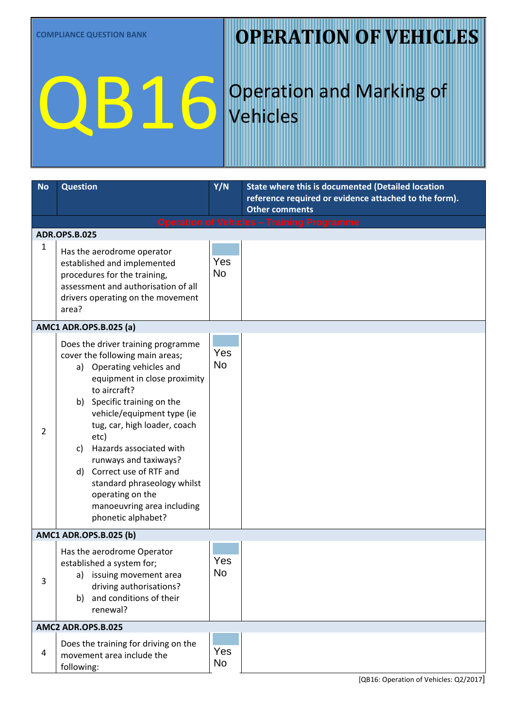### **OPERATION OF VEHICLES**

# QB16

### Operation and Marking of Vehicles

| <b>No</b>                     | <b>Question</b>                                                                                                                                                                                                                                                                                                                                                                                                                                          | Y/N              | <b>State where this is documented (Detailed location</b>                       |  |  |  |
|-------------------------------|----------------------------------------------------------------------------------------------------------------------------------------------------------------------------------------------------------------------------------------------------------------------------------------------------------------------------------------------------------------------------------------------------------------------------------------------------------|------------------|--------------------------------------------------------------------------------|--|--|--|
|                               |                                                                                                                                                                                                                                                                                                                                                                                                                                                          |                  | reference required or evidence attached to the form).<br><b>Other comments</b> |  |  |  |
|                               |                                                                                                                                                                                                                                                                                                                                                                                                                                                          |                  | <b>Operation of Vehicles - Training Programme</b>                              |  |  |  |
|                               | <b>ADR.OPS.B.025</b>                                                                                                                                                                                                                                                                                                                                                                                                                                     |                  |                                                                                |  |  |  |
| $\mathbf{1}$                  | Has the aerodrome operator<br>established and implemented<br>procedures for the training,<br>assessment and authorisation of all<br>drivers operating on the movement<br>area?                                                                                                                                                                                                                                                                           | Yes<br><b>No</b> |                                                                                |  |  |  |
|                               | AMC1 ADR.OPS.B.025 (a)                                                                                                                                                                                                                                                                                                                                                                                                                                   |                  |                                                                                |  |  |  |
| 2                             | Does the driver training programme<br>cover the following main areas;<br>a) Operating vehicles and<br>equipment in close proximity<br>to aircraft?<br>b) Specific training on the<br>vehicle/equipment type (ie<br>tug, car, high loader, coach<br>etc)<br>Hazards associated with<br>C)<br>runways and taxiways?<br>Correct use of RTF and<br>d)<br>standard phraseology whilst<br>operating on the<br>manoeuvring area including<br>phonetic alphabet? | Yes<br><b>No</b> |                                                                                |  |  |  |
| <b>AMC1 ADR.OPS.B.025 (b)</b> |                                                                                                                                                                                                                                                                                                                                                                                                                                                          |                  |                                                                                |  |  |  |
| 3                             | Has the aerodrome Operator<br>established a system for;<br>issuing movement area<br>a)<br>driving authorisations?<br>and conditions of their<br>b)<br>renewal?                                                                                                                                                                                                                                                                                           | Yes<br>No        |                                                                                |  |  |  |
|                               | AMC2 ADR.OPS.B.025                                                                                                                                                                                                                                                                                                                                                                                                                                       |                  |                                                                                |  |  |  |
| 4                             | Does the training for driving on the<br>movement area include the<br>following:                                                                                                                                                                                                                                                                                                                                                                          | Yes<br>No        |                                                                                |  |  |  |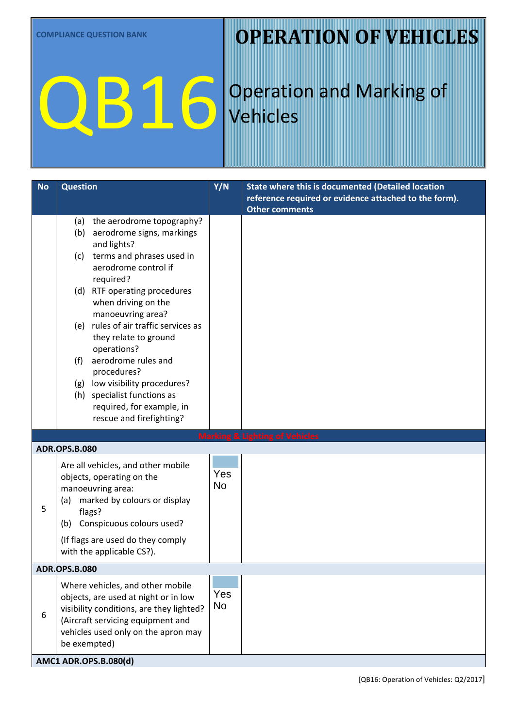### **OPERATION OF VEHICLES**

# QB16

## Operation and Marking of Vehicles

| <b>No</b> | <b>Question</b>                                                                                                                                                                                                                                                                                                                    | Y/N       | <b>State where this is documented (Detailed location</b>                       |  |  |
|-----------|------------------------------------------------------------------------------------------------------------------------------------------------------------------------------------------------------------------------------------------------------------------------------------------------------------------------------------|-----------|--------------------------------------------------------------------------------|--|--|
|           |                                                                                                                                                                                                                                                                                                                                    |           | reference required or evidence attached to the form).<br><b>Other comments</b> |  |  |
|           | the aerodrome topography?<br>(a)<br>(b) aerodrome signs, markings<br>and lights?<br>terms and phrases used in<br>(c)<br>aerodrome control if<br>required?                                                                                                                                                                          |           |                                                                                |  |  |
|           | (d) RTF operating procedures<br>when driving on the<br>manoeuvring area?<br>(e) rules of air traffic services as<br>they relate to ground<br>operations?<br>aerodrome rules and<br>(f)<br>procedures?<br>low visibility procedures?<br>(g)<br>(h) specialist functions as<br>required, for example, in<br>rescue and firefighting? |           |                                                                                |  |  |
|           |                                                                                                                                                                                                                                                                                                                                    |           | <b>Marking &amp; Lighting of Vehicles</b>                                      |  |  |
|           | <b>ADR.OPS.B.080</b>                                                                                                                                                                                                                                                                                                               |           |                                                                                |  |  |
| 5         | Are all vehicles, and other mobile<br>objects, operating on the<br>manoeuvring area:<br>marked by colours or display<br>(a)<br>flags?<br>Conspicuous colours used?<br>(b)<br>(If flags are used do they comply<br>with the applicable CS?).                                                                                        | Yes<br>No |                                                                                |  |  |
|           | <b>ADR.OPS.B.080</b>                                                                                                                                                                                                                                                                                                               |           |                                                                                |  |  |
| 6         | Where vehicles, and other mobile<br>objects, are used at night or in low<br>visibility conditions, are they lighted?<br>(Aircraft servicing equipment and<br>vehicles used only on the apron may<br>be exempted)                                                                                                                   | Yes<br>No |                                                                                |  |  |
|           | AMC1 ADR.OPS.B.080(d)                                                                                                                                                                                                                                                                                                              |           |                                                                                |  |  |